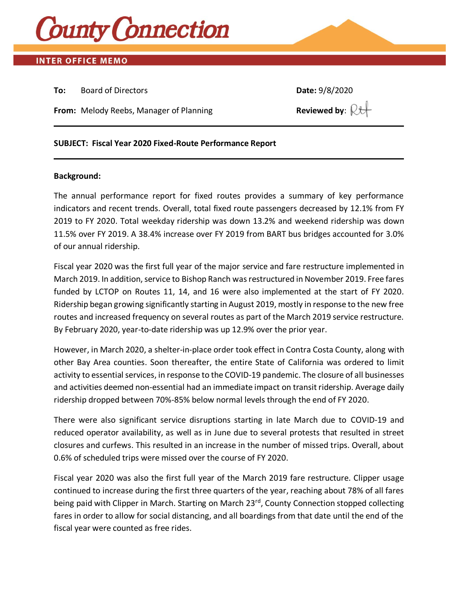

## **INTER OFFICE MEMO**

**To:** Board of Directors **Date:** 9/8/2020

**From:** Melody Reebs, Manager of Planning **Reviewed by**:  $\mathbb{R}$ t

## **SUBJECT: Fiscal Year 2020 Fixed-Route Performance Report**

#### **Background:**

The annual performance report for fixed routes provides a summary of key performance indicators and recent trends. Overall, total fixed route passengers decreased by 12.1% from FY 2019 to FY 2020. Total weekday ridership was down 13.2% and weekend ridership was down 11.5% over FY 2019. A 38.4% increase over FY 2019 from BART bus bridges accounted for 3.0% of our annual ridership.

Fiscal year 2020 was the first full year of the major service and fare restructure implemented in March 2019. In addition, service to Bishop Ranch was restructured in November 2019. Free fares funded by LCTOP on Routes 11, 14, and 16 were also implemented at the start of FY 2020. Ridership began growing significantly starting in August 2019, mostly in response to the new free routes and increased frequency on several routes as part of the March 2019 service restructure. By February 2020, year-to-date ridership was up 12.9% over the prior year.

However, in March 2020, a shelter-in-place order took effect in Contra Costa County, along with other Bay Area counties. Soon thereafter, the entire State of California was ordered to limit activity to essential services, in response to the COVID-19 pandemic. The closure of all businesses and activities deemed non-essential had an immediate impact on transit ridership. Average daily ridership dropped between 70%-85% below normal levels through the end of FY 2020.

There were also significant service disruptions starting in late March due to COVID-19 and reduced operator availability, as well as in June due to several protests that resulted in street closures and curfews. This resulted in an increase in the number of missed trips. Overall, about 0.6% of scheduled trips were missed over the course of FY 2020.

Fiscal year 2020 was also the first full year of the March 2019 fare restructure. Clipper usage continued to increase during the first three quarters of the year, reaching about 78% of all fares being paid with Clipper in March. Starting on March 23<sup>rd</sup>, County Connection stopped collecting fares in order to allow for social distancing, and all boardings from that date until the end of the fiscal year were counted as free rides.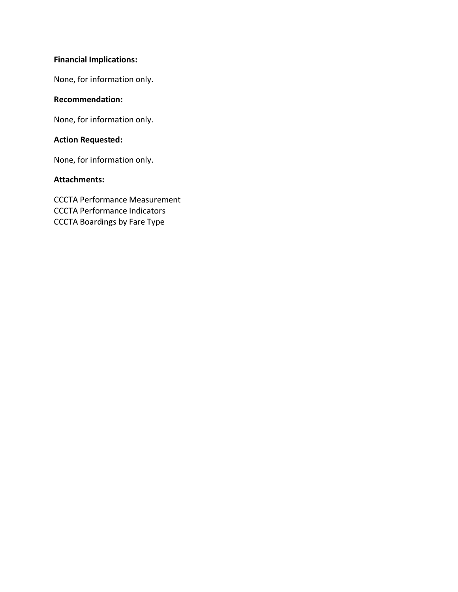# **Financial Implications:**

None, for information only.

## **Recommendation:**

None, for information only.

## **Action Requested:**

None, for information only.

### **Attachments:**

CCCTA Performance Measurement CCCTA Performance Indicators CCCTA Boardings by Fare Type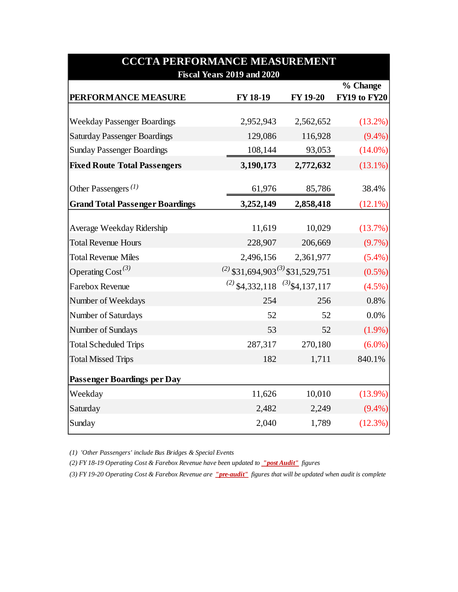| <b>CCCTA PERFORMANCE MEASUREMENT</b>   |                                             |                 |              |  |  |  |  |  |
|----------------------------------------|---------------------------------------------|-----------------|--------------|--|--|--|--|--|
|                                        | Fiscal Years 2019 and 2020                  |                 | % Change     |  |  |  |  |  |
| PERFORMANCE MEASURE                    | FY 18-19                                    | <b>FY 19-20</b> | FY19 to FY20 |  |  |  |  |  |
|                                        |                                             |                 |              |  |  |  |  |  |
| <b>Weekday Passenger Boardings</b>     | 2,952,943                                   | 2,562,652       | (13.2%)      |  |  |  |  |  |
| <b>Saturday Passenger Boardings</b>    | 129,086                                     | 116,928         | $(9.4\%)$    |  |  |  |  |  |
| <b>Sunday Passenger Boardings</b>      | 108,144                                     | 93,053          | $(14.0\%)$   |  |  |  |  |  |
| <b>Fixed Route Total Passengers</b>    | 3,190,173                                   | 2,772,632       | $(13.1\%)$   |  |  |  |  |  |
| Other Passengers $(1)$                 | 61,976                                      | 85,786          | 38.4%        |  |  |  |  |  |
|                                        |                                             |                 |              |  |  |  |  |  |
| <b>Grand Total Passenger Boardings</b> | 3,252,149                                   | 2,858,418       | $(12.1\%)$   |  |  |  |  |  |
| Average Weekday Ridership              | 11,619                                      | 10,029          | (13.7%)      |  |  |  |  |  |
| <b>Total Revenue Hours</b>             | 228,907                                     | 206,669         | (9.7%)       |  |  |  |  |  |
| <b>Total Revenue Miles</b>             | 2,496,156                                   | 2,361,977       | $(5.4\%)$    |  |  |  |  |  |
| Operating Cost <sup>(3)</sup>          | $^{(2)}$ \$31,694,903 $^{(3)}$ \$31,529,751 |                 | $(0.5\%)$    |  |  |  |  |  |
| <b>Farebox Revenue</b>                 | $^{(2)}$ \$4,332,118 $^{(3)}$ \$4,137,117   |                 | (4.5%)       |  |  |  |  |  |
| Number of Weekdays                     | 254                                         | 256             | 0.8%         |  |  |  |  |  |
| Number of Saturdays                    | 52                                          | 52              | $0.0\%$      |  |  |  |  |  |
| Number of Sundays                      | 53                                          | 52              | $(1.9\%)$    |  |  |  |  |  |
| <b>Total Scheduled Trips</b>           | 287,317                                     | 270,180         | $(6.0\%)$    |  |  |  |  |  |
| <b>Total Missed Trips</b>              | 182                                         | 1,711           | 840.1%       |  |  |  |  |  |
| <b>Passenger Boardings per Day</b>     |                                             |                 |              |  |  |  |  |  |
| Weekday                                | 11,626                                      | 10,010          | $(13.9\%)$   |  |  |  |  |  |
| Saturday                               | 2,482                                       | 2,249           | $(9.4\%)$    |  |  |  |  |  |
| Sunday                                 | 2,040                                       | 1,789           | (12.3%)      |  |  |  |  |  |

*(1) 'Other Passengers' include Bus Bridges & Special Events*

*(2) FY 18-19 Operating Cost & Farebox Revenue have been updated to "post Audit" figures*

*(3) FY 19-20 Operating Cost & Farebox Revenue are "pre-audit" figures that will be updated when audit is complete*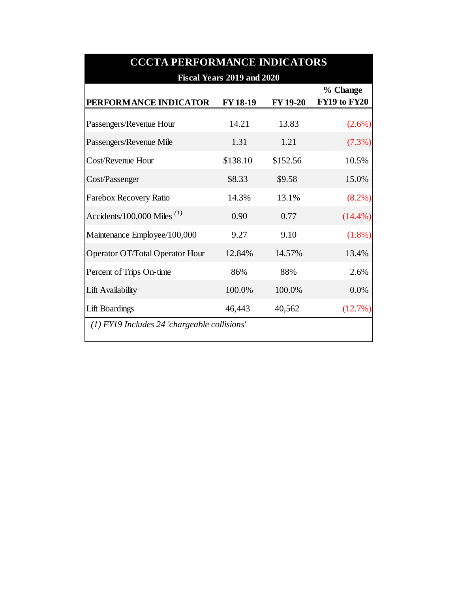| <b>CCCTA PERFORMANCE INDICATORS</b>          |                 |                 |                          |  |  |  |  |
|----------------------------------------------|-----------------|-----------------|--------------------------|--|--|--|--|
| Fiscal Years 2019 and 2020                   |                 |                 |                          |  |  |  |  |
| PERFORMANCE INDICATOR                        | <b>FY 18-19</b> | <b>FY 19-20</b> | % Change<br>FY19 to FY20 |  |  |  |  |
| Passengers/Revenue Hour                      | 14.21           | 13.83           | $(2.6\%)$                |  |  |  |  |
| Passengers/Revenue Mile                      | 1.31            | 1.21            | (7.3%)                   |  |  |  |  |
| Cost/Revenue Hour                            | \$138.10        | \$152.56        | 10.5%                    |  |  |  |  |
| Cost/Passenger                               | \$8.33          | \$9.58          | 15.0%                    |  |  |  |  |
| Farebox Recovery Ratio                       | 14.3%           | 13.1%           | $(8.2\%)$                |  |  |  |  |
| Accidents/100,000 Miles $^{(1)}$             | 0.90            | 0.77            | $(14.4\%)$               |  |  |  |  |
| Maintenance Employee/100,000                 | 9.27            | 9.10            | $(1.8\%)$                |  |  |  |  |
| Operator OT/Total Operator Hour              | 12.84%          | 14.57%          | 13.4%                    |  |  |  |  |
| Percent of Trips On-time                     | 86%             | 88%             | 2.6%                     |  |  |  |  |
| Lift Availability                            | 100.0%          | 100.0%          | 0.0%                     |  |  |  |  |
| <b>Lift Boardings</b>                        | 46,443          | 40,562          | (12.7%)                  |  |  |  |  |
| (1) FY19 Includes 24 'chargeable collisions' |                 |                 |                          |  |  |  |  |